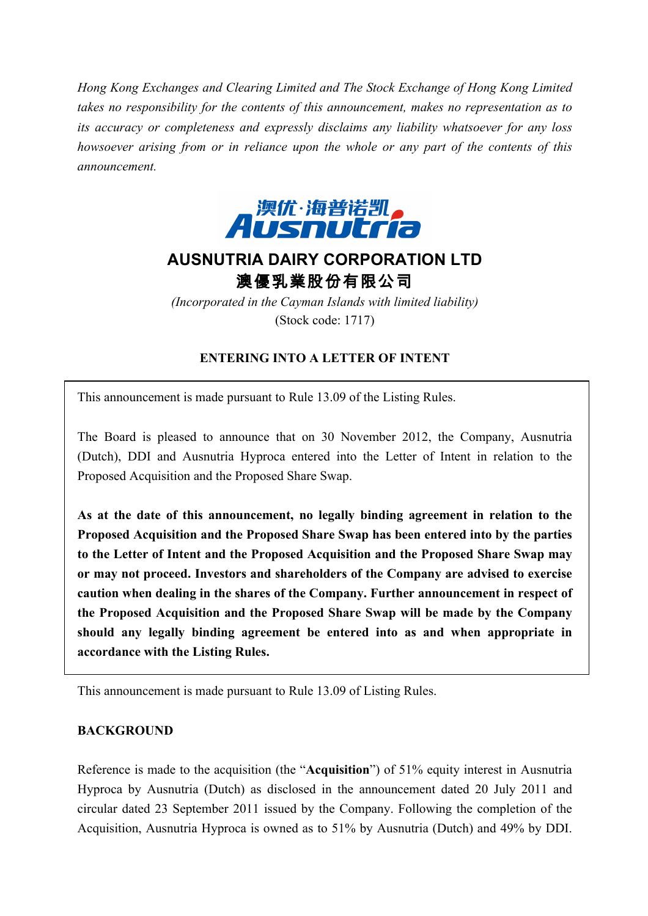*Hong Kong Exchanges and Clearing Limited and The Stock Exchange of Hong Kong Limited takes no responsibility for the contents of this announcement, makes no representation as to its accuracy or completeness and expressly disclaims any liability whatsoever for any loss howsoever arising from or in reliance upon the whole or any part of the contents of this announcement.*



# **AUSNUTRIA DAIRY CORPORATION LTD** 澳優乳業股份有限公司

*(Incorporated in the Cayman Islands with limited liability)* (Stock code: 1717)

# **ENTERING INTO A LETTER OF INTENT**

This announcement is made pursuant to Rule 13.09 of the Listing Rules.

The Board is pleased to announce that on 30 November 2012, the Company, Ausnutria (Dutch), DDI and Ausnutria Hyproca entered into the Letter of Intent in relation to the Proposed Acquisition and the Proposed Share Swap.

**As at the date of this announcement, no legally binding agreement in relation to the Proposed Acquisition and the Proposed Share Swap has been entered into by the parties to the Letter of Intent and the Proposed Acquisition and the Proposed Share Swap may or may not proceed. Investors and shareholders of the Company are advised to exercise caution when dealing in the shares of the Company. Further announcement in respect of the Proposed Acquisition and the Proposed Share Swap will be made by the Company should any legally binding agreement be entered into as and when appropriate in accordance with the Listing Rules.**

This announcement is made pursuant to Rule 13.09 of Listing Rules.

### **BACKGROUND**

Reference is made to the acquisition (the "**Acquisition**") of 51% equity interest in Ausnutria Hyproca by Ausnutria (Dutch) as disclosed in the announcement dated 20 July 2011 and circular dated 23 September 2011 issued by the Company. Following the completion of the Acquisition, Ausnutria Hyproca is owned as to 51% by Ausnutria (Dutch) and 49% by DDI.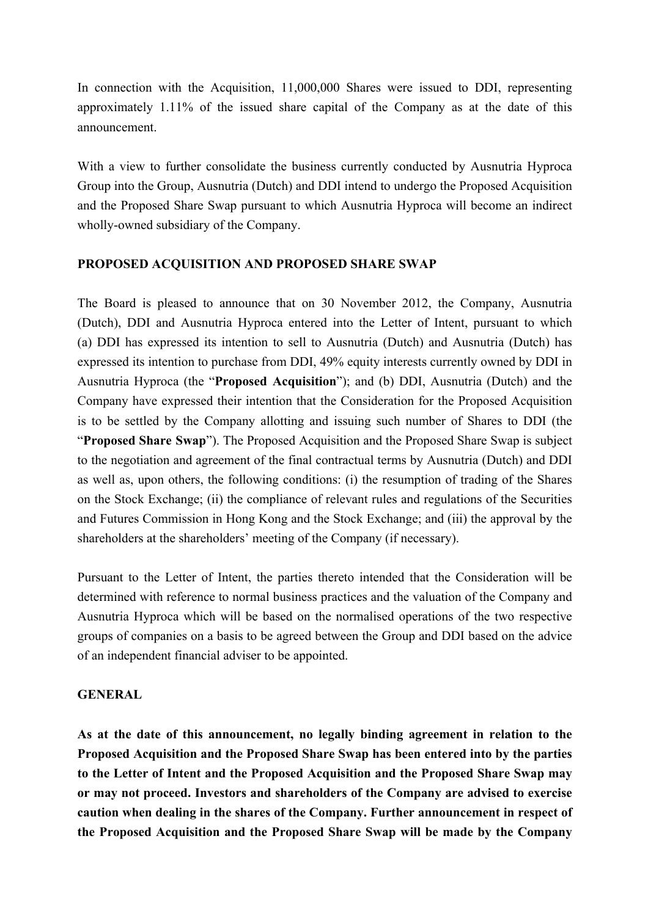In connection with the Acquisition, 11,000,000 Shares were issued to DDI, representing approximately 1.11% of the issued share capital of the Company as at the date of this announcement.

With a view to further consolidate the business currently conducted by Ausnutria Hyproca Group into the Group, Ausnutria (Dutch) and DDI intend to undergo the Proposed Acquisition and the Proposed Share Swap pursuant to which Ausnutria Hyproca will become an indirect wholly-owned subsidiary of the Company.

## **PROPOSED ACQUISITION AND PROPOSED SHARE SWAP**

The Board is pleased to announce that on 30 November 2012, the Company, Ausnutria (Dutch), DDI and Ausnutria Hyproca entered into the Letter of Intent, pursuant to which (a) DDI has expressed its intention to sell to Ausnutria (Dutch) and Ausnutria (Dutch) has expressed its intention to purchase from DDI, 49% equity interests currently owned by DDI in Ausnutria Hyproca (the "**Proposed Acquisition**"); and (b) DDI, Ausnutria (Dutch) and the Company have expressed their intention that the Consideration for the Proposed Acquisition is to be settled by the Company allotting and issuing such number of Shares to DDI (the "**Proposed Share Swap**"). The Proposed Acquisition and the Proposed Share Swap is subject to the negotiation and agreement of the final contractual terms by Ausnutria (Dutch) and DDI as well as, upon others, the following conditions: (i) the resumption of trading of the Shares on the Stock Exchange; (ii) the compliance of relevant rules and regulations of the Securities and Futures Commission in Hong Kong and the Stock Exchange; and (iii) the approval by the shareholders at the shareholders' meeting of the Company (if necessary).

Pursuant to the Letter of Intent, the parties thereto intended that the Consideration will be determined with reference to normal business practices and the valuation of the Company and Ausnutria Hyproca which will be based on the normalised operations of the two respective groups of companies on a basis to be agreed between the Group and DDI based on the advice of an independent financial adviser to be appointed.

### **GENERAL**

**As at the date of this announcement, no legally binding agreement in relation to the Proposed Acquisition and the Proposed Share Swap has been entered into by the parties to the Letter of Intent and the Proposed Acquisition and the Proposed Share Swap may or may not proceed. Investors and shareholders of the Company are advised to exercise caution when dealing in the shares of the Company. Further announcement in respect of the Proposed Acquisition and the Proposed Share Swap will be made by the Company**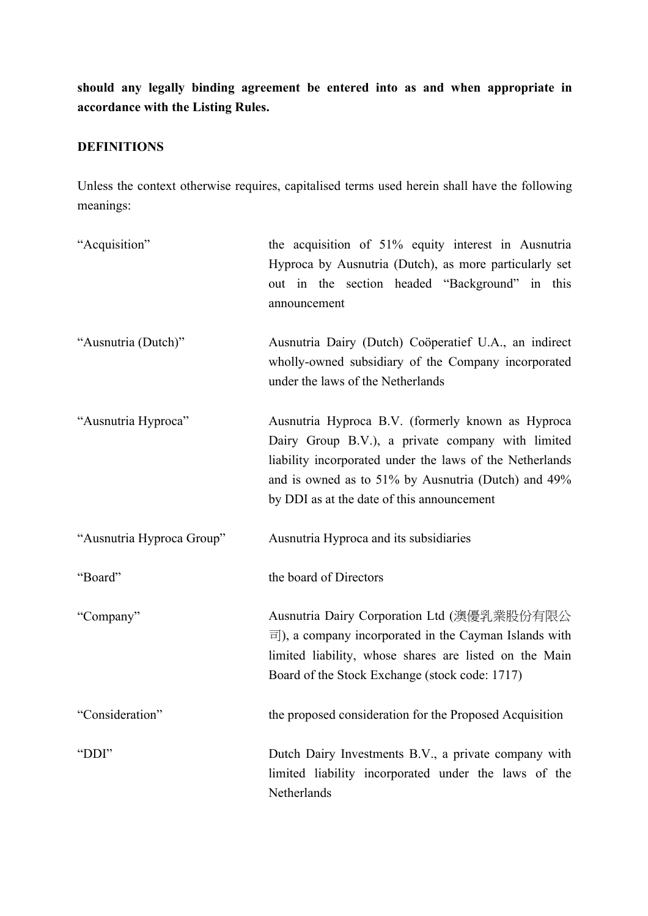**should any legally binding agreement be entered into as and when appropriate in accordance with the Listing Rules.**

# **DEFINITIONS**

Unless the context otherwise requires, capitalised terms used herein shall have the following meanings:

| "Acquisition"             | the acquisition of 51% equity interest in Ausnutria<br>Hyproca by Ausnutria (Dutch), as more particularly set<br>out in the section headed "Background" in this<br>announcement                                                                                         |
|---------------------------|-------------------------------------------------------------------------------------------------------------------------------------------------------------------------------------------------------------------------------------------------------------------------|
| "Ausnutria (Dutch)"       | Ausnutria Dairy (Dutch) Coöperatief U.A., an indirect<br>wholly-owned subsidiary of the Company incorporated<br>under the laws of the Netherlands                                                                                                                       |
| "Ausnutria Hyproca"       | Ausnutria Hyproca B.V. (formerly known as Hyproca<br>Dairy Group B.V.), a private company with limited<br>liability incorporated under the laws of the Netherlands<br>and is owned as to 51% by Ausnutria (Dutch) and 49%<br>by DDI as at the date of this announcement |
| "Ausnutria Hyproca Group" | Ausnutria Hyproca and its subsidiaries                                                                                                                                                                                                                                  |
| "Board"                   | the board of Directors                                                                                                                                                                                                                                                  |
| "Company"                 | Ausnutria Dairy Corporation Ltd (澳優乳業股份有限公<br>$\overline{\equiv}$ ), a company incorporated in the Cayman Islands with<br>limited liability, whose shares are listed on the Main<br>Board of the Stock Exchange (stock code: 1717)                                      |
| "Consideration"           | the proposed consideration for the Proposed Acquisition                                                                                                                                                                                                                 |
| "DDI"                     | Dutch Dairy Investments B.V., a private company with<br>limited liability incorporated under the laws of the<br>Netherlands                                                                                                                                             |